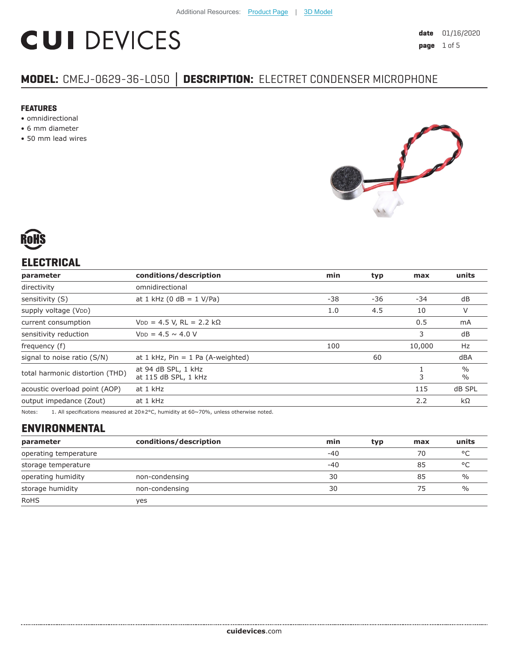# **CUI DEVICES**

# **MODEL:** CMEJ-0629-36-L050 **│ DESCRIPTION:** ELECTRET CONDENSER MICROPHONE

#### **FEATURES**

- omnidirectional
- 6 mm diameter
- 50 mm lead wires





# **ELECTRICAL**

| parameter                       | conditions/description                      | min | typ | max    | units                          |
|---------------------------------|---------------------------------------------|-----|-----|--------|--------------------------------|
| directivity                     | omnidirectional                             |     |     |        |                                |
| sensitivity (S)                 | at 1 kHz (0 dB = $1$ V/Pa)                  | -38 | -36 | -34    | dB                             |
| supply voltage (VDD)            |                                             | 1.0 | 4.5 | 10     | V                              |
| current consumption             | $V_{DD} = 4.5 V$ , RL = 2.2 kΩ              |     |     | 0.5    | mA                             |
| sensitivity reduction           | $V_{DD} = 4.5 \sim 4.0 V$                   |     |     | 3      | dB                             |
| frequency (f)                   |                                             | 100 |     | 10,000 | Hz                             |
| signal to noise ratio (S/N)     | at 1 kHz, $Pin = 1$ Pa (A-weighted)         |     | 60  |        | dBA                            |
| total harmonic distortion (THD) | at 94 dB SPL, 1 kHz<br>at 115 dB SPL, 1 kHz |     |     | 3      | $\frac{0}{0}$<br>$\frac{0}{0}$ |
| acoustic overload point (AOP)   | at 1 kHz                                    |     |     | 115    | dB SPL                         |
| output impedance (Zout)         | at 1 kHz                                    |     |     | 2.2    | $k\Omega$                      |
|                                 |                                             |     |     |        |                                |

Notes: 1. All specifications measured at 20±2°C, humidity at 60~70%, unless otherwise noted.

# **ENVIRONMENTAL**

| parameter             | conditions/description | min   | typ | max | units         |
|-----------------------|------------------------|-------|-----|-----|---------------|
| operating temperature |                        | $-40$ |     | 70  | $\circ$       |
| storage temperature   |                        | $-40$ |     | 85  | $\circ$       |
| operating humidity    | non-condensing         | 30    |     | 85  | $\frac{0}{0}$ |
| storage humidity      | non-condensing         | 30    |     | 75  | $\frac{0}{0}$ |
| <b>RoHS</b>           | yes                    |       |     |     |               |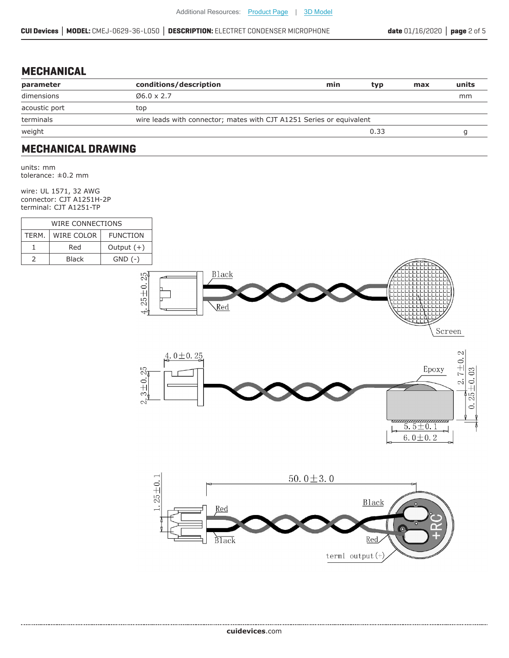### **MECHANICAL**

| parameter     | conditions/description                                               | min | typ  | max | units |
|---------------|----------------------------------------------------------------------|-----|------|-----|-------|
| dimensions    | $06.0 \times 2.7$                                                    |     |      |     | mm    |
| acoustic port | top                                                                  |     |      |     |       |
| terminals     | wire leads with connector; mates with CJT A1251 Series or equivalent |     |      |     |       |
| weight        |                                                                      |     | 0.33 |     |       |
|               |                                                                      |     |      |     |       |

### **MECHANICAL DRAWING**

units: mm tolerance: ±0.2 mm

wire: UL 1571, 32 AWG connector: CJT A1251H-2P terminal: CJT A1251-TP

| WIRE CONNECTIONS |                                      |              |  |  |
|------------------|--------------------------------------|--------------|--|--|
| TFRM.            | <b>WIRE COLOR</b><br><b>FUNCTION</b> |              |  |  |
|                  | Red                                  | Output $(+)$ |  |  |
|                  | <b>Black</b>                         | $GND$ $(-)$  |  |  |



Screen



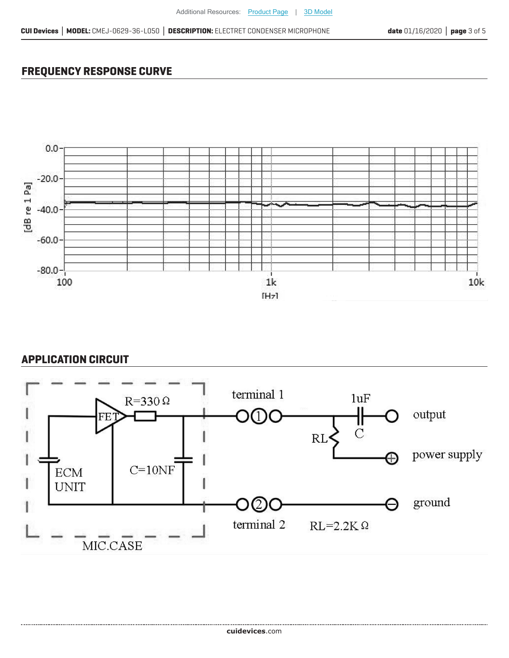# **FREQUENCY RESPONSE CURVE**



### **APPLICATION CIRCUIT**

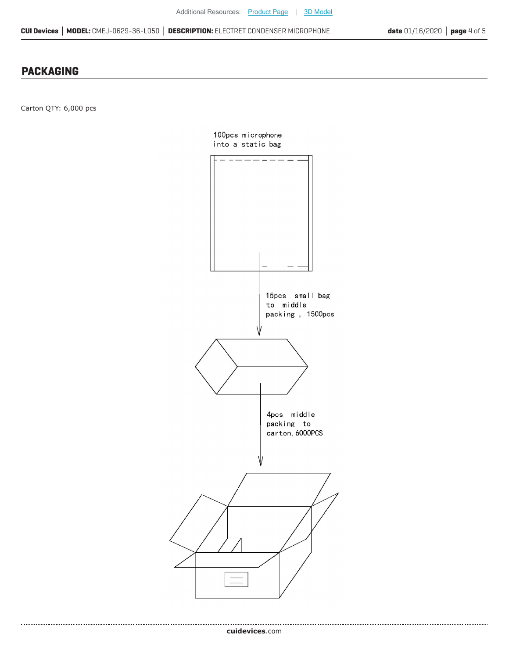#### **PACKAGING**

Carton QTY: 6,000 pcs